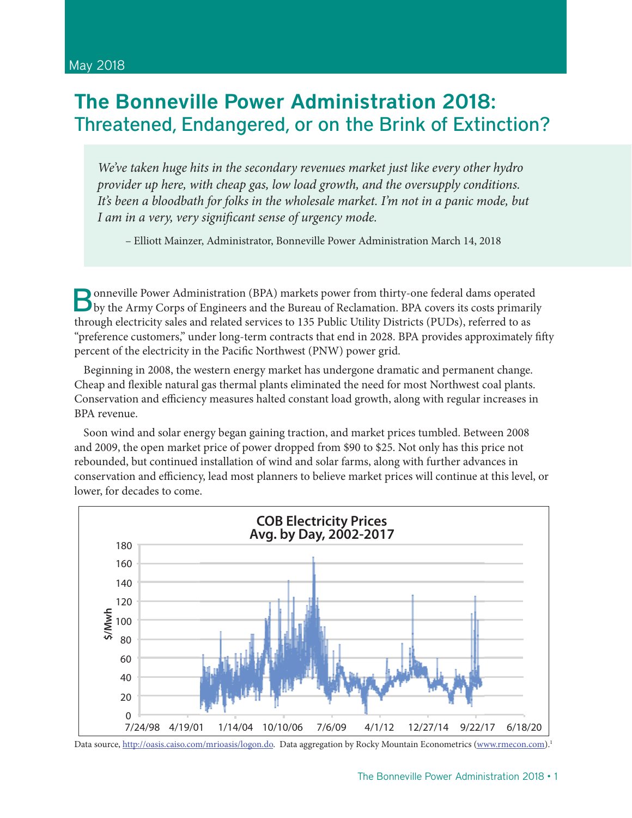# The Bonneville Power Administration 2018: Threatened, Endangered, or on the Brink of Extinction?

*We've taken huge hits in the secondary revenues market just like every other hydro provider up here, with cheap gas, low load growth, and the oversupply conditions. It's been a bloodbath for folks in the wholesale market. I'm not in a panic mode, but I am in a very, very significant sense of urgency mode.* 

– Elliott Mainzer, Administrator, Bonneville Power Administration March 14, 2018

Bonneville Power Administration (BPA) markets power from thirty-one federal dams operated by the Army Corps of Engineers and the Bureau of Reclamation. BPA covers its costs primarily through electricity sales and related services to 135 Public Utility Districts (PUDs), referred to as "preference customers," under long-term contracts that end in 2028. BPA provides approximately fifty percent of the electricity in the Pacific Northwest (PNW) power grid.

Beginning in 2008, the western energy market has undergone dramatic and permanent change. Cheap and flexible natural gas thermal plants eliminated the need for most Northwest coal plants. Conservation and efficiency measures halted constant load growth, along with regular increases in BPA revenue.

Soon wind and solar energy began gaining traction, and market prices tumbled. Between 2008 and 2009, the open market price of power dropped from \$90 to \$25. Not only has this price not rebounded, but continued installation of wind and solar farms, along with further advances in conservation and efficiency, lead most planners to believe market prices will continue at this level, or lower, for decades to come.



Data source, http://oasis.caiso.com/mrioasis/logon.do. Data aggregation by Rocky Mountain Econometrics (www.rmecon.com).<sup>1</sup>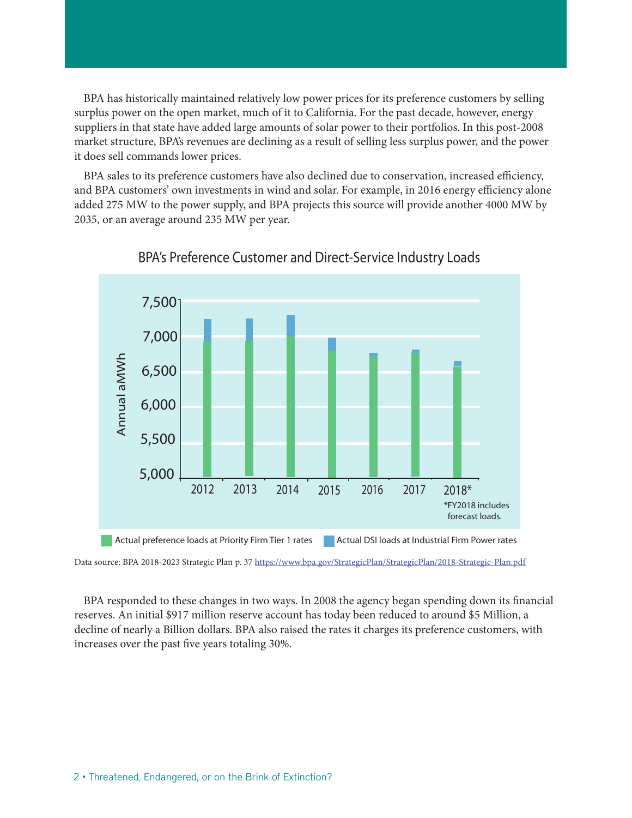BPA has historically maintained relatively low power prices for its preference customers by selling surplus power on the open market, much of it to California. For the past decade, however, energy suppliers in that state have added large amounts of solar power to their portfolios. In this post-2008 market structure, BPA's revenues are declining as a result of selling less surplus power, and the power it does sell commands lower prices.

BPA sales to its preference customers have also declined due to conservation, increased efficiency, and BPA customers' own investments in wind and solar. For example, in 2016 energy efficiency alone added 275 MW to the power supply, and BPA projects this source will provide another 4000 MW by 2035, or an average around 235 MW per year.



#### BPA's Preference Customer and Direct-Service Industry Loads

Data source: BPA 2018-2023 Strategic Plan p. 37 https://www.bpa.gov/StrategicPlan/StrategicPlan/2018-Strategic-Plan.pdf Source: BPA 2018-2023 Strategic Plan

BPA responded to these changes in two ways. In 2008 the agency began spending down its financial reserves. An initial \$917 million reserve account has today been reduced to around \$5 Million, a decline of nearly a Billion dollars. BPA also raised the rates it charges its preference customers, with increases over the past five years totaling 30%.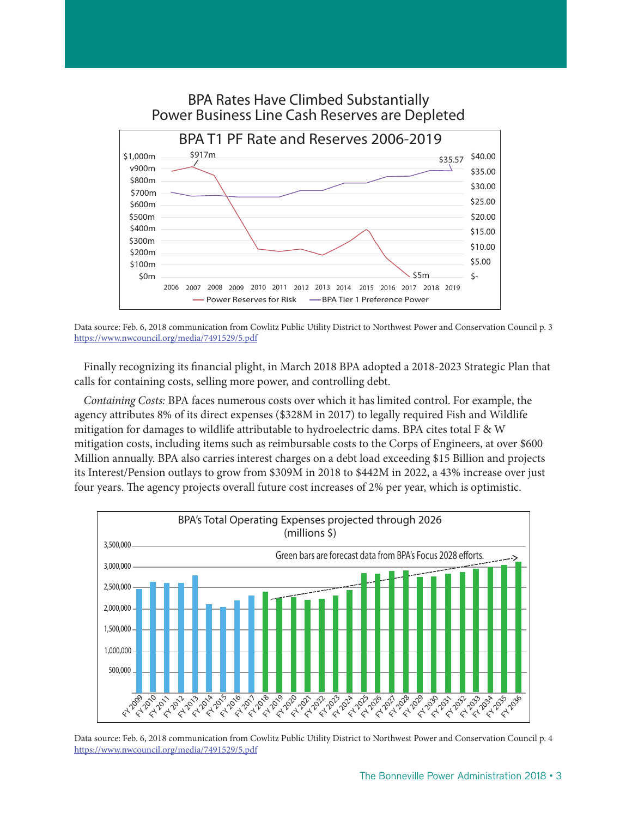

BPA Rates Have Climbed Substantially Power Business Line Cash Reserves are Depleted

Data source: Feb. 6, 2018 communication from Cowlitz Public Utility District to Northwest Power and Conservation Council p. 3 https://www.nwcouncil.org/media/7491529/5.pdf

Finally recognizing its financial plight, in March 2018 BPA adopted a 2018-2023 Strategic Plan that calls for containing costs, selling more power, and controlling debt.

*Containing Costs:* BPA faces numerous costs over which it has limited control. For example, the agency attributes 8% of its direct expenses (\$328M in 2017) to legally required Fish and Wildlife mitigation for damages to wildlife attributable to hydroelectric dams. BPA cites total F & W mitigation costs, including items such as reimbursable costs to the Corps of Engineers, at over \$600 Million annually. BPA also carries interest charges on a debt load exceeding \$15 Billion and projects its Interest/Pension outlays to grow from \$309M in 2018 to \$442M in 2022, a 43% increase over just four years. The agency projects overall future cost increases of 2% per year, which is optimistic.



Data source: Feb. 6, 2018 communication from Cowlitz Public Utility District to Northwest Power and Conservation Council p. 4 https://www.nwcouncil.org/media/7491529/5.pdf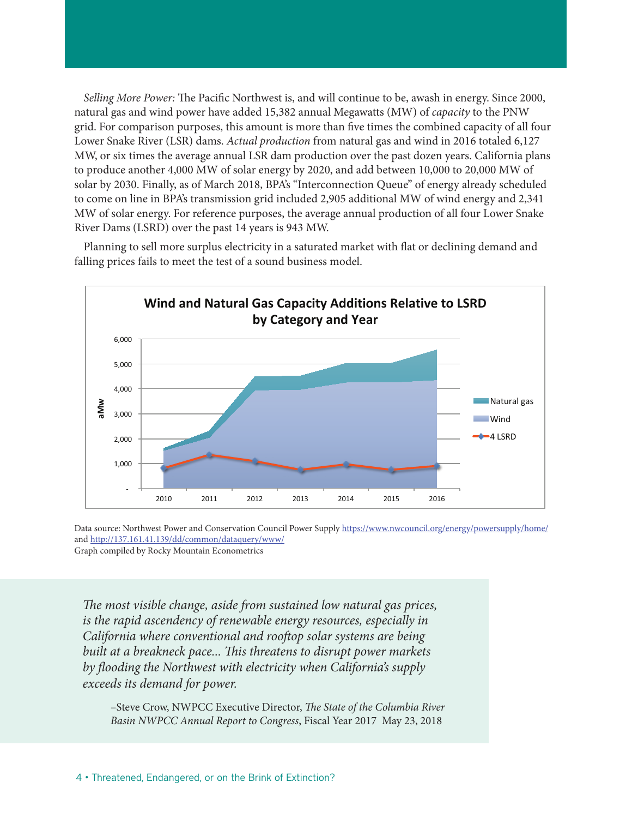*Selling More Power:* The Pacific Northwest is, and will continue to be, awash in energy. Since 2000, natural gas and wind power have added 15,382 annual Megawatts (MW) of *capacity* to the PNW grid. For comparison purposes, this amount is more than five times the combined capacity of all four Lower Snake River (LSR) dams. *Actual production* from natural gas and wind in 2016 totaled 6,127 MW, or six times the average annual LSR dam production over the past dozen years. California plans to produce another 4,000 MW of solar energy by 2020, and add between 10,000 to 20,000 MW of solar by 2030. Finally, as of March 2018, BPA's "Interconnection Queue" of energy already scheduled to come on line in BPA's transmission grid included 2,905 additional MW of wind energy and 2,341 MW of solar energy. For reference purposes, the average annual production of all four Lower Snake River Dams (LSRD) over the past 14 years is 943 MW.



Planning to sell more surplus electricity in a saturated market with flat or declining demand and falling prices fails to meet the test of a sound business model.

Data source: Northwest Power and Conservation Council Power Supply https://www.nwcouncil.org/energy/powersupply/home/ and http://137.161.41.139/dd/common/dataquery/www/ Graph compiled by Rocky Mountain Econometrics

*The most visible change, aside from sustained low natural gas prices, is the rapid ascendency of renewable energy resources, especially in California where conventional and rooftop solar systems are being built at a breakneck pace... This threatens to disrupt power markets by flooding the Northwest with electricity when California's supply exceeds its demand for power.*

–Steve Crow, NWPCC Executive Director, *The State of the Columbia River Basin NWPCC Annual Report to Congress*, Fiscal Year 2017 May 23, 2018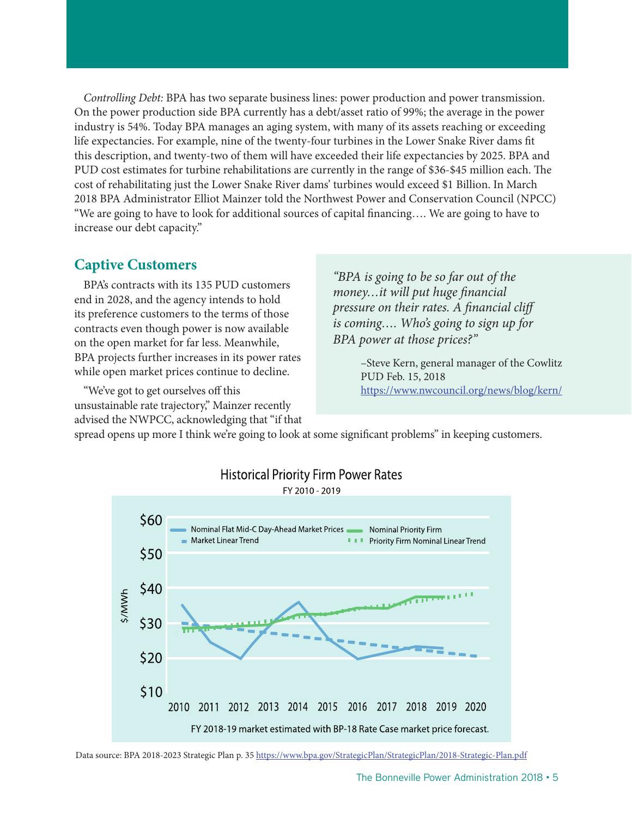*Controlling Debt:* BPA has two separate business lines: power production and power transmission. On the power production side BPA currently has a debt/asset ratio of 99%; the average in the power industry is 54%. Today BPA manages an aging system, with many of its assets reaching or exceeding life expectancies. For example, nine of the twenty-four turbines in the Lower Snake River dams fit this description, and twenty-two of them will have exceeded their life expectancies by 2025. BPA and PUD cost estimates for turbine rehabilitations are currently in the range of \$36-\$45 million each. The cost of rehabilitating just the Lower Snake River dams' turbines would exceed \$1 Billion. In March 2018 BPA Administrator Elliot Mainzer told the Northwest Power and Conservation Council (NPCC) "We are going to have to look for additional sources of capital financing…. We are going to have to increase our debt capacity."

## **Captive Customers**

BPA's contracts with its 135 PUD customers end in 2028, and the agency intends to hold its preference customers to the terms of those contracts even though power is now available on the open market for far less. Meanwhile, BPA projects further increases in its power rates while open market prices continue to decline.

"We've got to get ourselves off this unsustainable rate trajectory," Mainzer recently advised the NWPCC, acknowledging that "if that

*"BPA is going to be so far out of the money…it will put huge financial pressure on their rates. A financial cliff is coming…. Who's going to sign up for BPA power at those prices?"* 

> –Steve Kern, general manager of the Cowlitz PUD Feb. 15, 2018 https://www.nwcouncil.org/news/blog/kern/

spread opens up more I think we're going to look at some significant problems" in keeping customers.



**Historical Priority Firm Power Rates** 

FY 2010 - 2019

Data source: BPA 2018-2023 Strategic Plan p. 35 https://www.bpa.gov/StrategicPlan/StrategicPlan/2018-Strategic-Plan.pdf